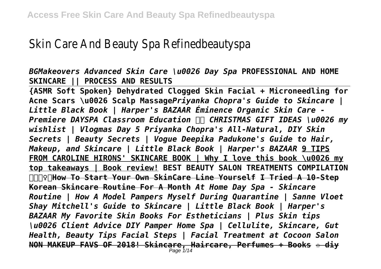## Skin Care And Beauty Spa Refinedbeautyspa

*BGMakeovers Advanced Skin Care \u0026 Day Spa* **PROFESSIONAL AND HOME SKINCARE || PROCESS AND RESULTS**

**{ASMR Soft Spoken} Dehydrated Clogged Skin Facial + Microneedling for Acne Scars \u0026 Scalp Massage***Priyanka Chopra's Guide to Skincare | Little Black Book | Harper's BAZAAR Éminence Organic Skin Care - Premiere DAYSPA Classroom Education CHRISTMAS GIFT IDEAS \u0026 my wishlist | Vlogmas Day 5 Priyanka Chopra's All-Natural, DIY Skin Secrets | Beauty Secrets | Vogue Deepika Padukone's Guide to Hair, Makeup, and Skincare | Little Black Book | Harper's BAZAAR* **9 TIPS FROM CAROLINE HIRONS' SKINCARE BOOK | Why I love this book \u0026 my top takeaways | Book review! BEST BEAUTY SALON TREATMENTS COMPILATION ♀️ How To Start Your Own SkinCare Line Yourself I Tried A 10-Step Korean Skincare Routine For A Month** *At Home Day Spa - Skincare Routine | How A Model Pampers Myself During Quarantine | Sanne Vloet Shay Mitchell's Guide to Skincare | Little Black Book | Harper's BAZAAR My Favorite Skin Books For Estheticians | Plus Skin tips \u0026 Client Advice DIY Pamper Home Spa | Cellulite, Skincare, Gut Health, Beauty Tips Facial Steps | Facial Treatment at Cocoon Salon* **NON MAKEUP FAVS OF 2018! Skincare, Haircare, Perfumes + Books ✩ diy** Page 1/14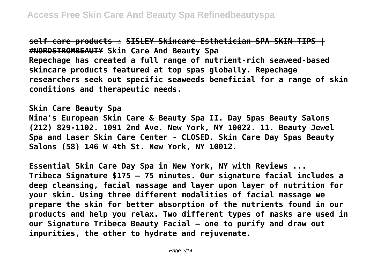**self care products ✩ SISLEY Skincare Esthetician SPA SKIN TIPS | #NORDSTROMBEAUTY Skin Care And Beauty Spa Repechage has created a full range of nutrient-rich seaweed-based skincare products featured at top spas globally. Repechage researchers seek out specific seaweeds beneficial for a range of skin conditions and therapeutic needs.**

**Skin Care Beauty Spa Nina's European Skin Care & Beauty Spa II. Day Spas Beauty Salons (212) 829-1102. 1091 2nd Ave. New York, NY 10022. 11. Beauty Jewel Spa and Laser Skin Care Center - CLOSED. Skin Care Day Spas Beauty Salons (58) 146 W 4th St. New York, NY 10012.**

**Essential Skin Care Day Spa in New York, NY with Reviews ... Tribeca Signature \$175 – 75 minutes. Our signature facial includes a deep cleansing, facial massage and layer upon layer of nutrition for your skin. Using three different modalities of facial massage we prepare the skin for better absorption of the nutrients found in our products and help you relax. Two different types of masks are used in our Signature Tribeca Beauty Facial – one to purify and draw out impurities, the other to hydrate and rejuvenate.**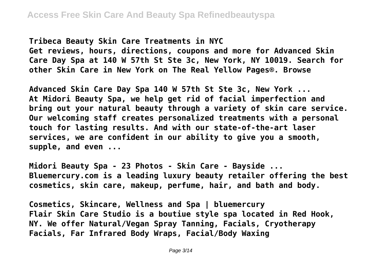**Tribeca Beauty Skin Care Treatments in NYC Get reviews, hours, directions, coupons and more for Advanced Skin Care Day Spa at 140 W 57th St Ste 3c, New York, NY 10019. Search for other Skin Care in New York on The Real Yellow Pages®. Browse**

**Advanced Skin Care Day Spa 140 W 57th St Ste 3c, New York ... At Midori Beauty Spa, we help get rid of facial imperfection and bring out your natural beauty through a variety of skin care service. Our welcoming staff creates personalized treatments with a personal touch for lasting results. And with our state-of-the-art laser services, we are confident in our ability to give you a smooth, supple, and even ...**

**Midori Beauty Spa - 23 Photos - Skin Care - Bayside ... Bluemercury.com is a leading luxury beauty retailer offering the best cosmetics, skin care, makeup, perfume, hair, and bath and body.**

**Cosmetics, Skincare, Wellness and Spa | bluemercury Flair Skin Care Studio is a boutiue style spa located in Red Hook, NY. We offer Natural/Vegan Spray Tanning, Facials, Cryotherapy Facials, Far Infrared Body Wraps, Facial/Body Waxing**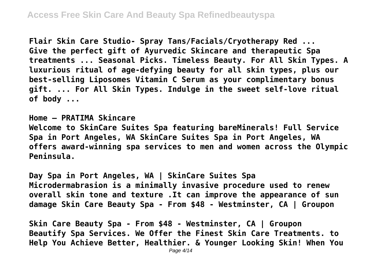**Flair Skin Care Studio- Spray Tans/Facials/Cryotherapy Red ... Give the perfect gift of Ayurvedic Skincare and therapeutic Spa treatments ... Seasonal Picks. Timeless Beauty. For All Skin Types. A luxurious ritual of age-defying beauty for all skin types, plus our best-selling Liposomes Vitamin C Serum as your complimentary bonus gift. ... For All Skin Types. Indulge in the sweet self-love ritual of body ...**

**Home – PRATIMA Skincare Welcome to SkinCare Suites Spa featuring bareMinerals! Full Service Spa in Port Angeles, WA SkinCare Suites Spa in Port Angeles, WA offers award-winning spa services to men and women across the Olympic Peninsula.**

**Day Spa in Port Angeles, WA | SkinCare Suites Spa Microdermabrasion is a minimally invasive procedure used to renew overall skin tone and texture .It can improve the appearance of sun damage Skin Care Beauty Spa - From \$48 - Westminster, CA | Groupon**

**Skin Care Beauty Spa - From \$48 - Westminster, CA | Groupon Beautify Spa Services. We Offer the Finest Skin Care Treatments. to Help You Achieve Better, Healthier. & Younger Looking Skin! When You**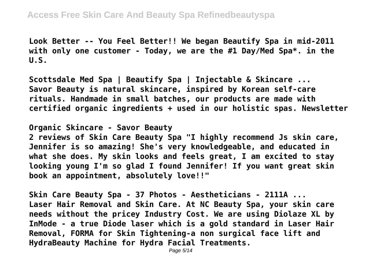**Look Better -- You Feel Better!! We began Beautify Spa in mid-2011 with only one customer - Today, we are the #1 Day/Med Spa\*. in the U.S.**

**Scottsdale Med Spa | Beautify Spa | Injectable & Skincare ... Savor Beauty is natural skincare, inspired by Korean self-care rituals. Handmade in small batches, our products are made with certified organic ingredients + used in our holistic spas. Newsletter**

**Organic Skincare - Savor Beauty 2 reviews of Skin Care Beauty Spa "I highly recommend Js skin care, Jennifer is so amazing! She's very knowledgeable, and educated in what she does. My skin looks and feels great, I am excited to stay looking young I'm so glad I found Jennifer! If you want great skin book an appointment, absolutely love!!"**

**Skin Care Beauty Spa - 37 Photos - Aestheticians - 2111A ... Laser Hair Removal and Skin Care. At NC Beauty Spa, your skin care needs without the pricey Industry Cost. We are using Diolaze XL by InMode - a true Diode laser which is a gold standard in Laser Hair Removal, FORMA for Skin Tightening-a non surgical face lift and HydraBeauty Machine for Hydra Facial Treatments.**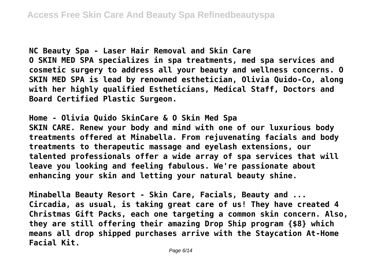**NC Beauty Spa - Laser Hair Removal and Skin Care O SKIN MED SPA specializes in spa treatments, med spa services and cosmetic surgery to address all your beauty and wellness concerns. O SKIN MED SPA is lead by renowned esthetician, Olivia Quido-Co, along with her highly qualified Estheticians, Medical Staff, Doctors and Board Certified Plastic Surgeon.**

**Home - Olivia Quido SkinCare & O Skin Med Spa SKIN CARE. Renew your body and mind with one of our luxurious body treatments offered at Minabella. From rejuvenating facials and body treatments to therapeutic massage and eyelash extensions, our talented professionals offer a wide array of spa services that will leave you looking and feeling fabulous. We're passionate about enhancing your skin and letting your natural beauty shine.**

**Minabella Beauty Resort - Skin Care, Facials, Beauty and ... Circadia, as usual, is taking great care of us! They have created 4 Christmas Gift Packs, each one targeting a common skin concern. Also, they are still offering their amazing Drop Ship program {\$8} which means all drop shipped purchases arrive with the Staycation At-Home Facial Kit.**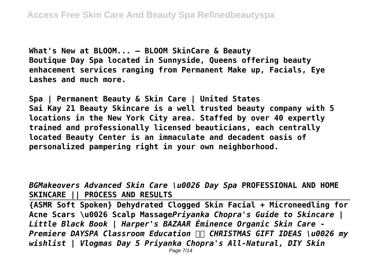**What's New at BLOOM... — BLOOM SkinCare & Beauty Boutique Day Spa located in Sunnyside, Queens offering beauty enhacement services ranging from Permanent Make up, Facials, Eye Lashes and much more.**

**Spa | Permanent Beauty & Skin Care | United States Sai Kay 21 Beauty Skincare is a well trusted beauty company with 5 locations in the New York City area. Staffed by over 40 expertly trained and professionally licensed beauticians, each centrally located Beauty Center is an immaculate and decadent oasis of personalized pampering right in your own neighborhood.**

*BGMakeovers Advanced Skin Care \u0026 Day Spa* **PROFESSIONAL AND HOME SKINCARE || PROCESS AND RESULTS**

**{ASMR Soft Spoken} Dehydrated Clogged Skin Facial + Microneedling for Acne Scars \u0026 Scalp Massage***Priyanka Chopra's Guide to Skincare | Little Black Book | Harper's BAZAAR Éminence Organic Skin Care - Premiere DAYSPA Classroom Education CHRISTMAS GIFT IDEAS \u0026 my wishlist | Vlogmas Day 5 Priyanka Chopra's All-Natural, DIY Skin*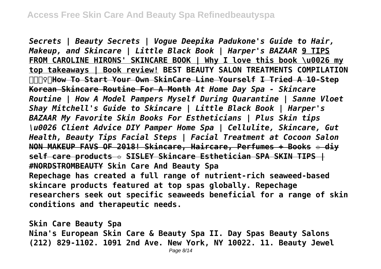*Secrets | Beauty Secrets | Vogue Deepika Padukone's Guide to Hair, Makeup, and Skincare | Little Black Book | Harper's BAZAAR* **9 TIPS FROM CAROLINE HIRONS' SKINCARE BOOK | Why I love this book \u0026 my top takeaways | Book review! BEST BEAUTY SALON TREATMENTS COMPILATION ♀️ How To Start Your Own SkinCare Line Yourself I Tried A 10-Step Korean Skincare Routine For A Month** *At Home Day Spa - Skincare Routine | How A Model Pampers Myself During Quarantine | Sanne Vloet Shay Mitchell's Guide to Skincare | Little Black Book | Harper's BAZAAR My Favorite Skin Books For Estheticians | Plus Skin tips \u0026 Client Advice DIY Pamper Home Spa | Cellulite, Skincare, Gut Health, Beauty Tips Facial Steps | Facial Treatment at Cocoon Salon* **NON MAKEUP FAVS OF 2018! Skincare, Haircare, Perfumes + Books ✩ diy self care products ✩ SISLEY Skincare Esthetician SPA SKIN TIPS | #NORDSTROMBEAUTY Skin Care And Beauty Spa Repechage has created a full range of nutrient-rich seaweed-based skincare products featured at top spas globally. Repechage researchers seek out specific seaweeds beneficial for a range of skin conditions and therapeutic needs.**

**Skin Care Beauty Spa Nina's European Skin Care & Beauty Spa II. Day Spas Beauty Salons (212) 829-1102. 1091 2nd Ave. New York, NY 10022. 11. Beauty Jewel**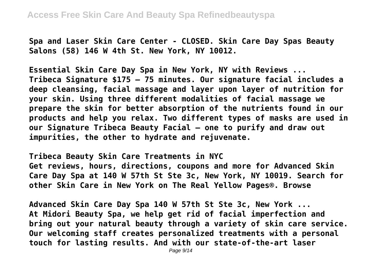**Spa and Laser Skin Care Center - CLOSED. Skin Care Day Spas Beauty Salons (58) 146 W 4th St. New York, NY 10012.**

**Essential Skin Care Day Spa in New York, NY with Reviews ... Tribeca Signature \$175 – 75 minutes. Our signature facial includes a deep cleansing, facial massage and layer upon layer of nutrition for your skin. Using three different modalities of facial massage we prepare the skin for better absorption of the nutrients found in our products and help you relax. Two different types of masks are used in our Signature Tribeca Beauty Facial – one to purify and draw out impurities, the other to hydrate and rejuvenate.**

**Tribeca Beauty Skin Care Treatments in NYC Get reviews, hours, directions, coupons and more for Advanced Skin Care Day Spa at 140 W 57th St Ste 3c, New York, NY 10019. Search for other Skin Care in New York on The Real Yellow Pages®. Browse**

**Advanced Skin Care Day Spa 140 W 57th St Ste 3c, New York ... At Midori Beauty Spa, we help get rid of facial imperfection and bring out your natural beauty through a variety of skin care service. Our welcoming staff creates personalized treatments with a personal touch for lasting results. And with our state-of-the-art laser**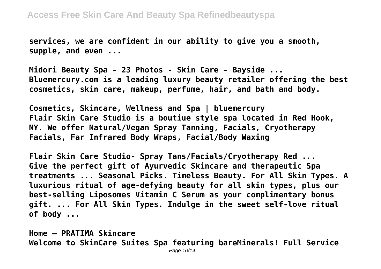**services, we are confident in our ability to give you a smooth, supple, and even ...**

**Midori Beauty Spa - 23 Photos - Skin Care - Bayside ... Bluemercury.com is a leading luxury beauty retailer offering the best cosmetics, skin care, makeup, perfume, hair, and bath and body.**

**Cosmetics, Skincare, Wellness and Spa | bluemercury Flair Skin Care Studio is a boutiue style spa located in Red Hook, NY. We offer Natural/Vegan Spray Tanning, Facials, Cryotherapy Facials, Far Infrared Body Wraps, Facial/Body Waxing**

**Flair Skin Care Studio- Spray Tans/Facials/Cryotherapy Red ... Give the perfect gift of Ayurvedic Skincare and therapeutic Spa treatments ... Seasonal Picks. Timeless Beauty. For All Skin Types. A luxurious ritual of age-defying beauty for all skin types, plus our best-selling Liposomes Vitamin C Serum as your complimentary bonus gift. ... For All Skin Types. Indulge in the sweet self-love ritual of body ...**

**Home – PRATIMA Skincare Welcome to SkinCare Suites Spa featuring bareMinerals! Full Service** Page 10/14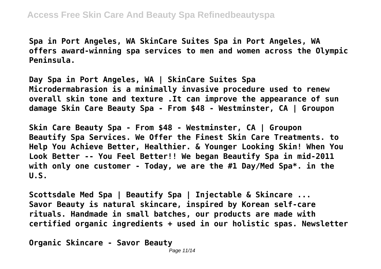**Spa in Port Angeles, WA SkinCare Suites Spa in Port Angeles, WA offers award-winning spa services to men and women across the Olympic Peninsula.**

**Day Spa in Port Angeles, WA | SkinCare Suites Spa Microdermabrasion is a minimally invasive procedure used to renew overall skin tone and texture .It can improve the appearance of sun damage Skin Care Beauty Spa - From \$48 - Westminster, CA | Groupon**

**Skin Care Beauty Spa - From \$48 - Westminster, CA | Groupon Beautify Spa Services. We Offer the Finest Skin Care Treatments. to Help You Achieve Better, Healthier. & Younger Looking Skin! When You Look Better -- You Feel Better!! We began Beautify Spa in mid-2011 with only one customer - Today, we are the #1 Day/Med Spa\*. in the U.S.**

**Scottsdale Med Spa | Beautify Spa | Injectable & Skincare ... Savor Beauty is natural skincare, inspired by Korean self-care rituals. Handmade in small batches, our products are made with certified organic ingredients + used in our holistic spas. Newsletter**

**Organic Skincare - Savor Beauty**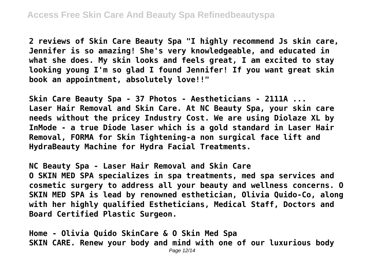**2 reviews of Skin Care Beauty Spa "I highly recommend Js skin care, Jennifer is so amazing! She's very knowledgeable, and educated in what she does. My skin looks and feels great, I am excited to stay looking young I'm so glad I found Jennifer! If you want great skin book an appointment, absolutely love!!"**

**Skin Care Beauty Spa - 37 Photos - Aestheticians - 2111A ... Laser Hair Removal and Skin Care. At NC Beauty Spa, your skin care needs without the pricey Industry Cost. We are using Diolaze XL by InMode - a true Diode laser which is a gold standard in Laser Hair Removal, FORMA for Skin Tightening-a non surgical face lift and HydraBeauty Machine for Hydra Facial Treatments.**

**NC Beauty Spa - Laser Hair Removal and Skin Care O SKIN MED SPA specializes in spa treatments, med spa services and cosmetic surgery to address all your beauty and wellness concerns. O SKIN MED SPA is lead by renowned esthetician, Olivia Quido-Co, along with her highly qualified Estheticians, Medical Staff, Doctors and Board Certified Plastic Surgeon.**

**Home - Olivia Quido SkinCare & O Skin Med Spa SKIN CARE. Renew your body and mind with one of our luxurious body**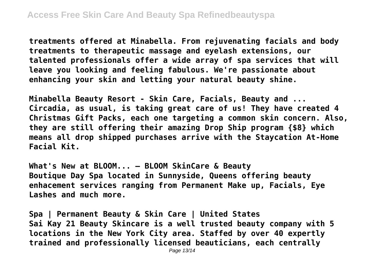**treatments offered at Minabella. From rejuvenating facials and body treatments to therapeutic massage and eyelash extensions, our talented professionals offer a wide array of spa services that will leave you looking and feeling fabulous. We're passionate about enhancing your skin and letting your natural beauty shine.**

**Minabella Beauty Resort - Skin Care, Facials, Beauty and ... Circadia, as usual, is taking great care of us! They have created 4 Christmas Gift Packs, each one targeting a common skin concern. Also, they are still offering their amazing Drop Ship program {\$8} which means all drop shipped purchases arrive with the Staycation At-Home Facial Kit.**

**What's New at BLOOM... — BLOOM SkinCare & Beauty Boutique Day Spa located in Sunnyside, Queens offering beauty enhacement services ranging from Permanent Make up, Facials, Eye Lashes and much more.**

**Spa | Permanent Beauty & Skin Care | United States Sai Kay 21 Beauty Skincare is a well trusted beauty company with 5 locations in the New York City area. Staffed by over 40 expertly trained and professionally licensed beauticians, each centrally**